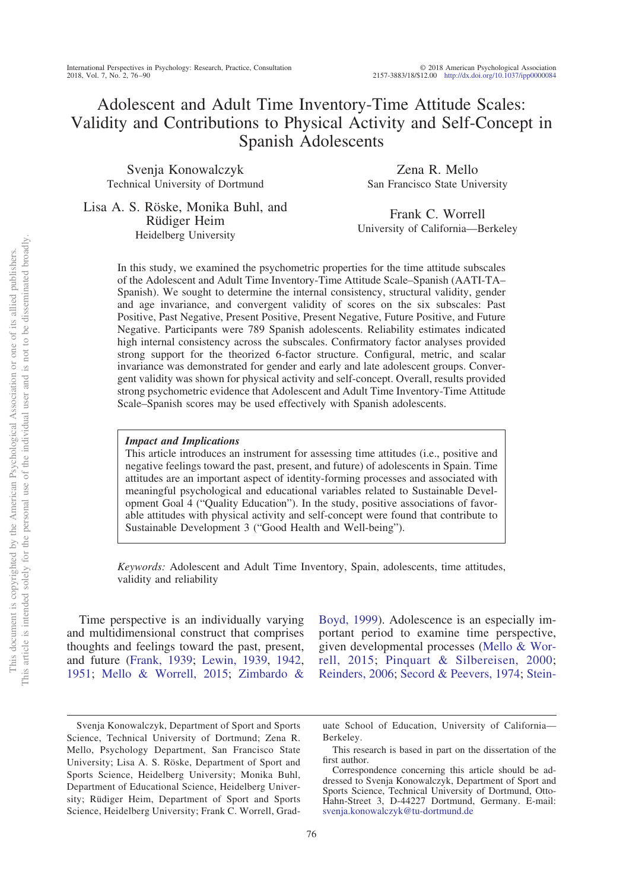# Adolescent and Adult Time Inventory-Time Attitude Scales: Validity and Contributions to Physical Activity and Self-Concept in Spanish Adolescents

Svenja Konowalczyk Technical University of Dortmund

Zena R. Mello San Francisco State University

Lisa A. S. Röske, Monika Buhl, and Rüdiger Heim Heidelberg University

Frank C. Worrell University of California—Berkeley

In this study, we examined the psychometric properties for the time attitude subscales of the Adolescent and Adult Time Inventory-Time Attitude Scale–Spanish (AATI-TA– Spanish). We sought to determine the internal consistency, structural validity, gender and age invariance, and convergent validity of scores on the six subscales: Past Positive, Past Negative, Present Positive, Present Negative, Future Positive, and Future Negative. Participants were 789 Spanish adolescents. Reliability estimates indicated high internal consistency across the subscales. Confirmatory factor analyses provided strong support for the theorized 6-factor structure. Configural, metric, and scalar invariance was demonstrated for gender and early and late adolescent groups. Convergent validity was shown for physical activity and self-concept. Overall, results provided strong psychometric evidence that Adolescent and Adult Time Inventory-Time Attitude Scale–Spanish scores may be used effectively with Spanish adolescents.

## *Impact and Implications*

This article introduces an instrument for assessing time attitudes (i.e., positive and negative feelings toward the past, present, and future) of adolescents in Spain. Time attitudes are an important aspect of identity-forming processes and associated with meaningful psychological and educational variables related to Sustainable Development Goal 4 ("Quality Education"). In the study, positive associations of favorable attitudes with physical activity and self-concept were found that contribute to Sustainable Development 3 ("Good Health and Well-being").

*Keywords:* Adolescent and Adult Time Inventory, Spain, adolescents, time attitudes, validity and reliability

Time perspective is an individually varying and multidimensional construct that comprises thoughts and feelings toward the past, present, and future [\(Frank, 1939;](#page-10-0) [Lewin, 1939,](#page-11-0) [1942,](#page-11-1) [1951;](#page-11-2) [Mello & Worrell, 2015;](#page-12-0) [Zimbardo &](#page-13-0)

[Boyd, 1999\)](#page-13-0). Adolescence is an especially important period to examine time perspective, given developmental processes [\(Mello & Wor](#page-12-0)[rell, 2015;](#page-12-0) [Pinquart & Silbereisen, 2000;](#page-12-1) [Reinders, 2006;](#page-12-2) [Secord & Peevers, 1974;](#page-12-3) [Stein-](#page-12-4)

Svenja Konowalczyk, Department of Sport and Sports Science, Technical University of Dortmund; Zena R. Mello, Psychology Department, San Francisco State University; Lisa A. S. Röske, Department of Sport and Sports Science, Heidelberg University; Monika Buhl, Department of Educational Science, Heidelberg University; Rüdiger Heim, Department of Sport and Sports Science, Heidelberg University; Frank C. Worrell, Grad-

uate School of Education, University of California— Berkeley.

This research is based in part on the dissertation of the first author.

Correspondence concerning this article should be addressed to Svenja Konowalczyk, Department of Sport and Sports Science, Technical University of Dortmund, Otto-Hahn-Street 3, D-44227 Dortmund, Germany. E-mail: [svenja.konowalczyk@tu-dortmund.de](mailto:svenja.konowalczyk@tu-dortmund.de)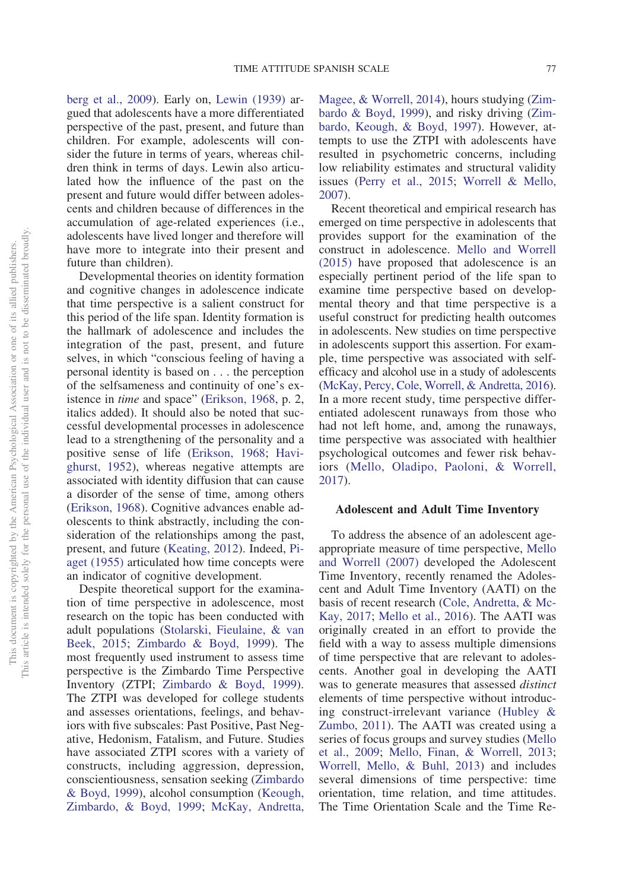[berg et al., 2009\)](#page-12-4). Early on, [Lewin \(1939\)](#page-11-0) argued that adolescents have a more differentiated perspective of the past, present, and future than children. For example, adolescents will consider the future in terms of years, whereas children think in terms of days. Lewin also articulated how the influence of the past on the present and future would differ between adolescents and children because of differences in the accumulation of age-related experiences (i.e., adolescents have lived longer and therefore will have more to integrate into their present and future than children).

Developmental theories on identity formation and cognitive changes in adolescence indicate that time perspective is a salient construct for this period of the life span. Identity formation is the hallmark of adolescence and includes the integration of the past, present, and future selves, in which "conscious feeling of having a personal identity is based on . . . the perception of the selfsameness and continuity of one's existence in *time* and space" [\(Erikson, 1968,](#page-10-1) p. 2, italics added). It should also be noted that successful developmental processes in adolescence lead to a strengthening of the personality and a positive sense of life [\(Erikson, 1968;](#page-10-1) [Havi](#page-11-3)[ghurst, 1952\)](#page-11-3), whereas negative attempts are associated with identity diffusion that can cause a disorder of the sense of time, among others [\(Erikson, 1968\)](#page-10-1). Cognitive advances enable adolescents to think abstractly, including the consideration of the relationships among the past, present, and future [\(Keating, 2012\)](#page-11-4). Indeed, [Pi](#page-12-5)[aget \(1955\)](#page-12-5) articulated how time concepts were an indicator of cognitive development.

Despite theoretical support for the examination of time perspective in adolescence, most research on the topic has been conducted with adult populations [\(Stolarski, Fieulaine, & van](#page-12-6) [Beek, 2015;](#page-12-6) [Zimbardo & Boyd, 1999\)](#page-13-0). The most frequently used instrument to assess time perspective is the Zimbardo Time Perspective Inventory (ZTPI; [Zimbardo & Boyd, 1999\)](#page-13-0). The ZTPI was developed for college students and assesses orientations, feelings, and behaviors with five subscales: Past Positive, Past Negative, Hedonism, Fatalism, and Future. Studies have associated ZTPI scores with a variety of constructs, including aggression, depression, conscientiousness, sensation seeking [\(Zimbardo](#page-13-0) [& Boyd, 1999\)](#page-13-0), alcohol consumption [\(Keough,](#page-11-5) [Zimbardo, & Boyd, 1999;](#page-11-5) [McKay, Andretta,](#page-11-6) [Magee, & Worrell, 2014\)](#page-11-6), hours studying [\(Zim](#page-13-0)[bardo & Boyd, 1999\)](#page-13-0), and risky driving [\(Zim](#page-13-1)[bardo, Keough, & Boyd, 1997\)](#page-13-1). However, attempts to use the ZTPI with adolescents have resulted in psychometric concerns, including low reliability estimates and structural validity issues [\(Perry et al., 2015;](#page-12-7) [Worrell & Mello,](#page-13-2) [2007\)](#page-13-2).

Recent theoretical and empirical research has emerged on time perspective in adolescents that provides support for the examination of the construct in adolescence. [Mello and Worrell](#page-12-0) [\(2015\)](#page-12-0) have proposed that adolescence is an especially pertinent period of the life span to examine time perspective based on developmental theory and that time perspective is a useful construct for predicting health outcomes in adolescents. New studies on time perspective in adolescents support this assertion. For example, time perspective was associated with selfefficacy and alcohol use in a study of adolescents [\(McKay, Percy, Cole, Worrell, & Andretta, 2016\)](#page-11-7). In a more recent study, time perspective differentiated adolescent runaways from those who had not left home, and, among the runaways, time perspective was associated with healthier psychological outcomes and fewer risk behaviors [\(Mello, Oladipo, Paoloni, & Worrell,](#page-11-8) [2017\)](#page-11-8).

#### **Adolescent and Adult Time Inventory**

To address the absence of an adolescent ageappropriate measure of time perspective, [Mello](#page-12-8) [and Worrell \(2007\)](#page-12-8) developed the Adolescent Time Inventory, recently renamed the Adolescent and Adult Time Inventory (AATI) on the basis of recent research [\(Cole, Andretta, & Mc-](#page-10-2)[Kay, 2017;](#page-10-2) [Mello et al., 2016\)](#page-12-9). The AATI was originally created in an effort to provide the field with a way to assess multiple dimensions of time perspective that are relevant to adolescents. Another goal in developing the AATI was to generate measures that assessed *distinct* elements of time perspective without introducing construct-irrelevant variance [\(Hubley &](#page-11-9) [Zumbo, 2011\)](#page-11-9). The AATI was created using a series of focus groups and survey studies [\(Mello](#page-11-10) [et al., 2009;](#page-11-10) [Mello, Finan, & Worrell, 2013;](#page-11-11) [Worrell, Mello, & Buhl, 2013\)](#page-13-3) and includes several dimensions of time perspective: time orientation, time relation, and time attitudes. The Time Orientation Scale and the Time Re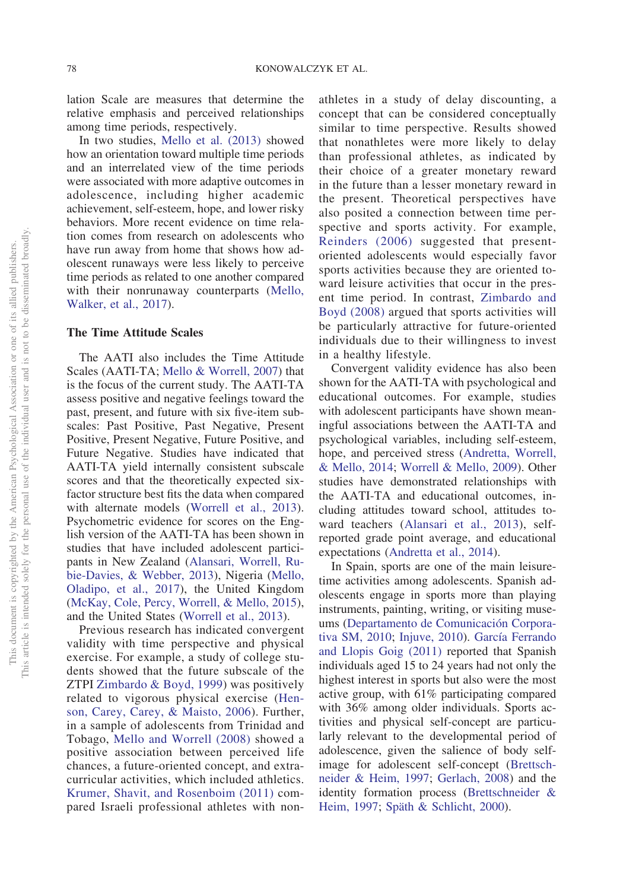lation Scale are measures that determine the relative emphasis and perceived relationships among time periods, respectively.

In two studies, [Mello et al. \(2013\)](#page-11-11) showed how an orientation toward multiple time periods and an interrelated view of the time periods were associated with more adaptive outcomes in adolescence, including higher academic achievement, self-esteem, hope, and lower risky behaviors. More recent evidence on time relation comes from research on adolescents who have run away from home that shows how adolescent runaways were less likely to perceive time periods as related to one another compared with their nonrunaway counterparts [\(Mello,](#page-12-10) [Walker, et al., 2017\)](#page-12-10).

### **The Time Attitude Scales**

The AATI also includes the Time Attitude Scales (AATI-TA; [Mello & Worrell, 2007\)](#page-12-8) that is the focus of the current study. The AATI-TA assess positive and negative feelings toward the past, present, and future with six five-item subscales: Past Positive, Past Negative, Present Positive, Present Negative, Future Positive, and Future Negative. Studies have indicated that AATI-TA yield internally consistent subscale scores and that the theoretically expected sixfactor structure best fits the data when compared with alternate models [\(Worrell et al., 2013\)](#page-13-3). Psychometric evidence for scores on the English version of the AATI-TA has been shown in studies that have included adolescent participants in New Zealand [\(Alansari, Worrell, Ru](#page-10-3)[bie-Davies, & Webber, 2013\)](#page-10-3), Nigeria [\(Mello,](#page-11-8) [Oladipo, et al., 2017\)](#page-11-8), the United Kingdom [\(McKay, Cole, Percy, Worrell, & Mello, 2015\)](#page-11-12), and the United States [\(Worrell et al., 2013\)](#page-13-3).

Previous research has indicated convergent validity with time perspective and physical exercise. For example, a study of college students showed that the future subscale of the ZTPI [Zimbardo & Boyd, 1999\)](#page-13-0) was positively related to vigorous physical exercise [\(Hen](#page-11-13)[son, Carey, Carey, & Maisto, 2006\)](#page-11-13). Further, in a sample of adolescents from Trinidad and Tobago, [Mello and Worrell \(2008\)](#page-12-11) showed a positive association between perceived life chances, a future-oriented concept, and extracurricular activities, which included athletics. [Krumer, Shavit, and Rosenboim \(2011\)](#page-11-14) compared Israeli professional athletes with nonathletes in a study of delay discounting, a concept that can be considered conceptually similar to time perspective. Results showed that nonathletes were more likely to delay than professional athletes, as indicated by their choice of a greater monetary reward in the future than a lesser monetary reward in the present. Theoretical perspectives have also posited a connection between time perspective and sports activity. For example, [Reinders \(2006\)](#page-12-2) suggested that presentoriented adolescents would especially favor sports activities because they are oriented toward leisure activities that occur in the present time period. In contrast, [Zimbardo and](#page-13-4) [Boyd \(2008\)](#page-13-4) argued that sports activities will be particularly attractive for future-oriented individuals due to their willingness to invest in a healthy lifestyle.

Convergent validity evidence has also been shown for the AATI-TA with psychological and educational outcomes. For example, studies with adolescent participants have shown meaningful associations between the AATI-TA and psychological variables, including self-esteem, hope, and perceived stress [\(Andretta, Worrell,](#page-10-4) [& Mello, 2014;](#page-10-4) [Worrell & Mello, 2009\)](#page-13-5). Other studies have demonstrated relationships with the AATI-TA and educational outcomes, including attitudes toward school, attitudes toward teachers [\(Alansari et al., 2013\)](#page-10-3), selfreported grade point average, and educational expectations [\(Andretta et al., 2014\)](#page-10-4).

In Spain, sports are one of the main leisuretime activities among adolescents. Spanish adolescents engage in sports more than playing instruments, painting, writing, or visiting museums [\(Departamento de Comunicación Corpora](#page-10-5)[tiva SM, 2010;](#page-10-5) [Injuve, 2010\)](#page-11-15). [García Ferrando](#page-10-6) [and Llopis Goig \(2011\)](#page-10-6) reported that Spanish individuals aged 15 to 24 years had not only the highest interest in sports but also were the most active group, with 61% participating compared with 36% among older individuals. Sports activities and physical self-concept are particularly relevant to the developmental period of adolescence, given the salience of body selfimage for adolescent self-concept [\(Brettsch](#page-10-7)[neider & Heim, 1997;](#page-10-7) [Gerlach, 2008\)](#page-11-16) and the identity formation process [\(Brettschneider &](#page-10-7) [Heim, 1997;](#page-10-7) [Späth & Schlicht, 2000\)](#page-12-12).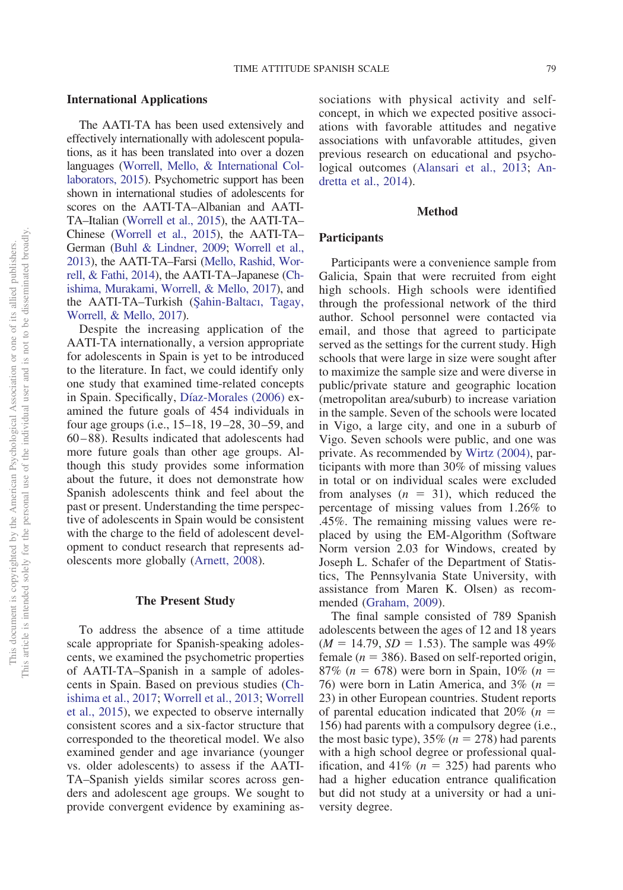#### **International Applications**

The AATI-TA has been used extensively and effectively internationally with adolescent populations, as it has been translated into over a dozen languages [\(Worrell, Mello, & International Col](#page-13-6)[laborators, 2015\)](#page-13-6). Psychometric support has been shown in international studies of adolescents for scores on the AATI-TA–Albanian and AATI-TA–Italian [\(Worrell et al., 2015\)](#page-13-6), the AATI-TA– Chinese [\(Worrell et al., 2015\)](#page-13-6), the AATI-TA– German [\(Buhl & Lindner, 2009;](#page-10-8) [Worrell et al.,](#page-13-3) [2013\)](#page-13-3), the AATI-TA–Farsi [\(Mello, Rashid, Wor](#page-11-17)[rell, & Fathi, 2014\)](#page-11-17), the AATI-TA–Japanese [\(Ch](#page-10-9)[ishima, Murakami, Worrell, & Mello, 2017\)](#page-10-9), and the AATI-TA–Turkish (Şahin-Baltacı, Tagay, [Worrell, & Mello, 2017\)](#page-12-13).

Despite the increasing application of the AATI-TA internationally, a version appropriate for adolescents in Spain is yet to be introduced to the literature. In fact, we could identify only one study that examined time-related concepts in Spain. Specifically, [Díaz-Morales \(2006\)](#page-10-10) examined the future goals of 454 individuals in four age groups (i.e., 15–18, 19–28, 30–59, and 60–88). Results indicated that adolescents had more future goals than other age groups. Although this study provides some information about the future, it does not demonstrate how Spanish adolescents think and feel about the past or present. Understanding the time perspective of adolescents in Spain would be consistent with the charge to the field of adolescent development to conduct research that represents adolescents more globally [\(Arnett, 2008\)](#page-10-11).

#### **The Present Study**

To address the absence of a time attitude scale appropriate for Spanish-speaking adolescents, we examined the psychometric properties of AATI-TA–Spanish in a sample of adolescents in Spain. Based on previous studies [\(Ch](#page-10-9)[ishima et al., 2017;](#page-10-9) [Worrell et al., 2013;](#page-13-3) [Worrell](#page-13-6) [et al., 2015\)](#page-13-6), we expected to observe internally consistent scores and a six-factor structure that corresponded to the theoretical model. We also examined gender and age invariance (younger vs. older adolescents) to assess if the AATI-TA–Spanish yields similar scores across genders and adolescent age groups. We sought to provide convergent evidence by examining associations with physical activity and selfconcept, in which we expected positive associations with favorable attitudes and negative associations with unfavorable attitudes, given previous research on educational and psychological outcomes [\(Alansari et al., 2013;](#page-10-3) [An](#page-10-4)[dretta et al., 2014\)](#page-10-4).

#### **Method**

# **Participants**

Participants were a convenience sample from Galicia, Spain that were recruited from eight high schools. High schools were identified through the professional network of the third author. School personnel were contacted via email, and those that agreed to participate served as the settings for the current study. High schools that were large in size were sought after to maximize the sample size and were diverse in public/private stature and geographic location (metropolitan area/suburb) to increase variation in the sample. Seven of the schools were located in Vigo, a large city, and one in a suburb of Vigo. Seven schools were public, and one was private. As recommended by [Wirtz \(2004\),](#page-13-7) participants with more than 30% of missing values in total or on individual scales were excluded from analyses  $(n = 31)$ , which reduced the percentage of missing values from 1.26% to .45%. The remaining missing values were replaced by using the EM-Algorithm (Software Norm version 2.03 for Windows, created by Joseph L. Schafer of the Department of Statistics, The Pennsylvania State University, with assistance from Maren K. Olsen) as recommended [\(Graham, 2009\)](#page-11-18).

The final sample consisted of 789 Spanish adolescents between the ages of 12 and 18 years  $(M = 14.79, SD = 1.53)$ . The sample was 49% female ( $n = 386$ ). Based on self-reported origin,  $87\%$  (*n* = 678) were born in Spain, 10\% (*n* = 76) were born in Latin America, and  $3\%$  ( $n =$ 23) in other European countries. Student reports of parental education indicated that  $20\%$  ( $n =$ 156) had parents with a compulsory degree (i.e., the most basic type),  $35\%$  ( $n = 278$ ) had parents with a high school degree or professional qualification, and  $41\%$  ( $n = 325$ ) had parents who had a higher education entrance qualification but did not study at a university or had a university degree.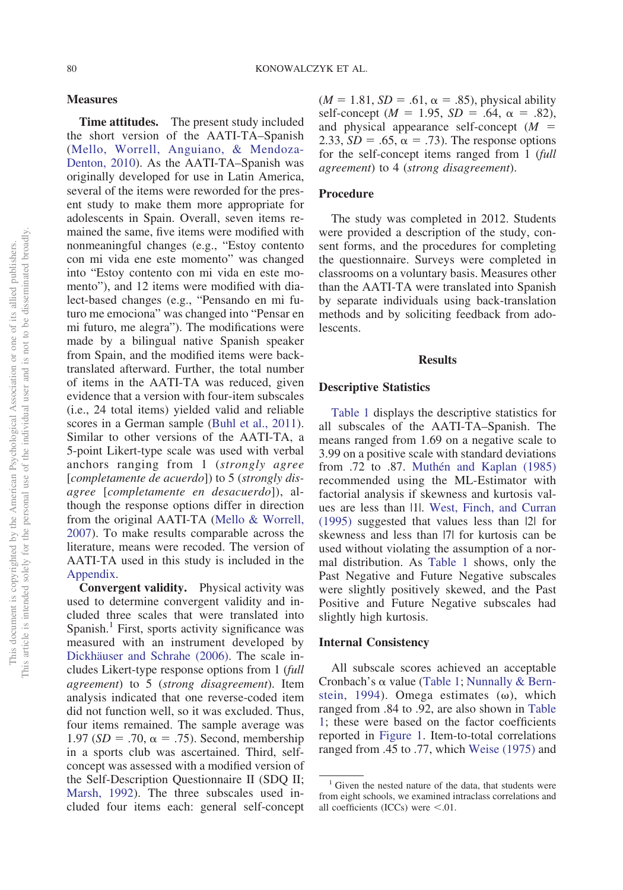#### **Measures**

**Time attitudes.** The present study included the short version of the AATI-TA–Spanish [\(Mello, Worrell, Anguiano, & Mendoza-](#page-12-14)[Denton, 2010\)](#page-12-14). As the AATI-TA–Spanish was originally developed for use in Latin America, several of the items were reworded for the present study to make them more appropriate for adolescents in Spain. Overall, seven items remained the same, five items were modified with nonmeaningful changes (e.g., "Estoy contento con mi vida ene este momento" was changed into "Estoy contento con mi vida en este momento"), and 12 items were modified with dialect-based changes (e.g., "Pensando en mi futuro me emociona" was changed into "Pensar en mi futuro, me alegra"). The modifications were made by a bilingual native Spanish speaker from Spain, and the modified items were backtranslated afterward. Further, the total number of items in the AATI-TA was reduced, given evidence that a version with four-item subscales (i.e., 24 total items) yielded valid and reliable scores in a German sample [\(Buhl et al., 2011\)](#page-10-12). Similar to other versions of the AATI-TA, a 5-point Likert-type scale was used with verbal anchors ranging from 1 (*strongly agree* [*completamente de acuerdo*]) to 5 (*strongly disagree* [*completamente en desacuerdo*]), although the response options differ in direction from the original AATI-TA [\(Mello & Worrell,](#page-12-8) [2007\)](#page-12-8). To make results comparable across the literature, means were recoded. The version of AATI-TA used in this study is included in the [Appendix.](#page-14-0)

**Convergent validity.** Physical activity was used to determine convergent validity and included three scales that were translated into Spanish.<sup>1</sup> First, sports activity significance was measured with an instrument developed by [Dickhäuser and Schrahe \(2006\).](#page-10-13) The scale includes Likert-type response options from 1 (*full agreement*) to 5 (*strong disagreement*). Item analysis indicated that one reverse-coded item did not function well, so it was excluded. Thus, four items remained. The sample average was 1.97 ( $SD = .70$ ,  $\alpha = .75$ ). Second, membership in a sports club was ascertained. Third, selfconcept was assessed with a modified version of the Self-Description Questionnaire II (SDQ II; [Marsh, 1992\)](#page-11-19). The three subscales used included four items each: general self-concept

 $(M = 1.81, SD = .61, \alpha = .85)$ , physical ability self-concept ( $M = 1.95$ ,  $SD = .64$ ,  $\alpha = .82$ ), and physical appearance self-concept  $(M =$ 2.33,  $SD = .65$ ,  $\alpha = .73$ ). The response options for the self-concept items ranged from 1 (*full agreement*) to 4 (*strong disagreement*).

#### **Procedure**

The study was completed in 2012. Students were provided a description of the study, consent forms, and the procedures for completing the questionnaire. Surveys were completed in classrooms on a voluntary basis. Measures other than the AATI-TA were translated into Spanish by separate individuals using back-translation methods and by soliciting feedback from adolescents.

#### **Results**

# **Descriptive Statistics**

[Table 1](#page-5-0) displays the descriptive statistics for all subscales of the AATI-TA–Spanish. The means ranged from 1.69 on a negative scale to 3.99 on a positive scale with standard deviations from .72 to .87. [Muthén and Kaplan \(1985\)](#page-12-15) recommended using the ML-Estimator with factorial analysis if skewness and kurtosis values are less than |1|. [West, Finch, and Curran](#page-13-8) [\(1995\)](#page-13-8) suggested that values less than |2| for skewness and less than |7| for kurtosis can be used without violating the assumption of a normal distribution. As [Table 1](#page-5-0) shows, only the Past Negative and Future Negative subscales were slightly positively skewed, and the Past Positive and Future Negative subscales had slightly high kurtosis.

#### **Internal Consistency**

All subscale scores achieved an acceptable Cronbach's  $\alpha$  value [\(Table 1;](#page-5-0) [Nunnally & Bern](#page-12-16)[stein, 1994\)](#page-12-16). Omega estimates  $(\omega)$ , which ranged from .84 to .92, are also shown in [Table](#page-5-0) [1;](#page-5-0) these were based on the factor coefficients reported in [Figure 1.](#page-6-0) Item-to-total correlations ranged from .45 to .77, which [Weise \(1975\)](#page-12-17) and

<sup>&</sup>lt;sup>1</sup> Given the nested nature of the data, that students were from eight schools, we examined intraclass correlations and all coefficients (ICCs) were  $\leq$ .01.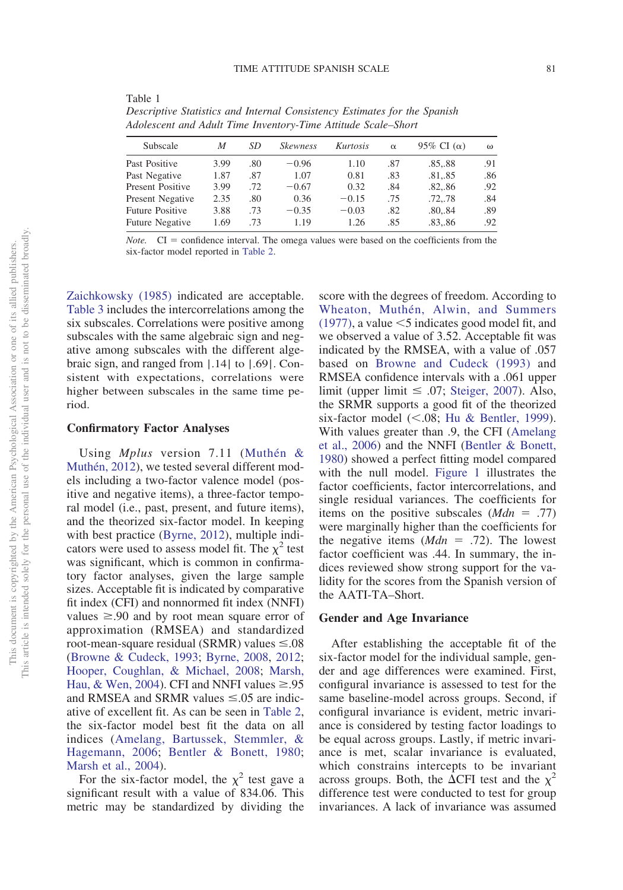| Subscale                | М    | SD  | <i><b>Skewness</b></i> | Kurtosis | $\alpha$ | 95% CI $(\alpha)$ | (1) |
|-------------------------|------|-----|------------------------|----------|----------|-------------------|-----|
| Past Positive           | 3.99 | .80 | $-0.96$                | 1.10     | .87      | .8588             | .91 |
| Past Negative           | 1.87 | .87 | 1.07                   | 0.81     | .83      | .81,.85           | .86 |
| <b>Present Positive</b> | 3.99 | .72 | $-0.67$                | 0.32     | .84      | .82,.86           | .92 |
| Present Negative        | 2.35 | .80 | 0.36                   | $-0.15$  | .75      | .72,.78           | .84 |
| Future Positive         | 3.88 | .73 | $-0.35$                | $-0.03$  | .82      | .80,.84           | .89 |
| <b>Future Negative</b>  | 1.69 | .73 | 1.19                   | 1.26     | .85      | .83,.86           | .92 |
|                         |      |     |                        |          |          |                   |     |

<span id="page-5-0"></span>Table 1 *Descriptive Statistics and Internal Consistency Estimates for the Spanish Adolescent and Adult Time Inventory-Time Attitude Scale–Short*

*Note.*  $CI =$  confidence interval. The omega values were based on the coefficients from the six-factor model reported in [Table 2.](#page-7-1)

[Zaichkowsky \(1985\)](#page-13-9) indicated are acceptable. [Table 3](#page-7-0) includes the intercorrelations among the six subscales. Correlations were positive among subscales with the same algebraic sign and negative among subscales with the different algebraic sign, and ranged from |.14| to |.69|. Consistent with expectations, correlations were higher between subscales in the same time period.

# **Confirmatory Factor Analyses**

Using *Mplus* version 7.11 [\(Muthén &](#page-12-18) [Muthén, 2012\)](#page-12-18), we tested several different models including a two-factor valence model (positive and negative items), a three-factor temporal model (i.e., past, present, and future items), and the theorized six-factor model. In keeping with best practice [\(Byrne, 2012\)](#page-10-14), multiple indicators were used to assess model fit. The  $\chi^2$  test was significant, which is common in confirmatory factor analyses, given the large sample sizes. Acceptable fit is indicated by comparative fit index (CFI) and nonnormed fit index (NNFI) values  $\geq 0.90$  and by root mean square error of approximation (RMSEA) and standardized root-mean-square residual (SRMR) values  $\leq 0.08$ [\(Browne & Cudeck, 1993;](#page-10-15) [Byrne, 2008,](#page-10-16) [2012;](#page-10-14) [Hooper, Coughlan, & Michael, 2008;](#page-11-20) [Marsh,](#page-11-21) [Hau, & Wen, 2004\)](#page-11-21). CFI and NNFI values  $\geq 0.95$ and RMSEA and SRMR values  $\leq 0.05$  are indicative of excellent fit. As can be seen in [Table 2,](#page-7-1) the six-factor model best fit the data on all indices [\(Amelang, Bartussek, Stemmler, &](#page-10-17) [Hagemann, 2006;](#page-10-17) [Bentler & Bonett, 1980;](#page-10-18) [Marsh et al., 2004\)](#page-11-21).

For the six-factor model, the  $\chi^2$  test gave a significant result with a value of 834.06. This metric may be standardized by dividing the

score with the degrees of freedom. According to [Wheaton, Muthén, Alwin, and Summers](#page-13-10)  $(1977)$ , a value  $\leq$ 5 indicates good model fit, and we observed a value of 3.52. Acceptable fit was indicated by the RMSEA, with a value of .057 based on [Browne and Cudeck \(1993\)](#page-10-15) and RMSEA confidence intervals with a .061 upper limit (upper limit  $\leq .07$ ; [Steiger, 2007\)](#page-12-19). Also, the SRMR supports a good fit of the theorized six-factor model  $(<.08;$  [Hu & Bentler, 1999\)](#page-11-22). With values greater than .9, the CFI [\(Amelang](#page-10-17) [et al., 2006\)](#page-10-17) and the NNFI [\(Bentler & Bonett,](#page-10-18) [1980\)](#page-10-18) showed a perfect fitting model compared with the null model. [Figure 1](#page-6-0) illustrates the factor coefficients, factor intercorrelations, and single residual variances. The coefficients for items on the positive subscales  $(Mdn = .77)$ were marginally higher than the coefficients for the negative items  $(Mdn = .72)$ . The lowest factor coefficient was .44. In summary, the indices reviewed show strong support for the validity for the scores from the Spanish version of the AATI-TA–Short.

# **Gender and Age Invariance**

After establishing the acceptable fit of the six-factor model for the individual sample, gender and age differences were examined. First, configural invariance is assessed to test for the same baseline-model across groups. Second, if configural invariance is evident, metric invariance is considered by testing factor loadings to be equal across groups. Lastly, if metric invariance is met, scalar invariance is evaluated, which constrains intercepts to be invariant across groups. Both, the  $\Delta$ CFI test and the  $\chi^2$ difference test were conducted to test for group invariances. A lack of invariance was assumed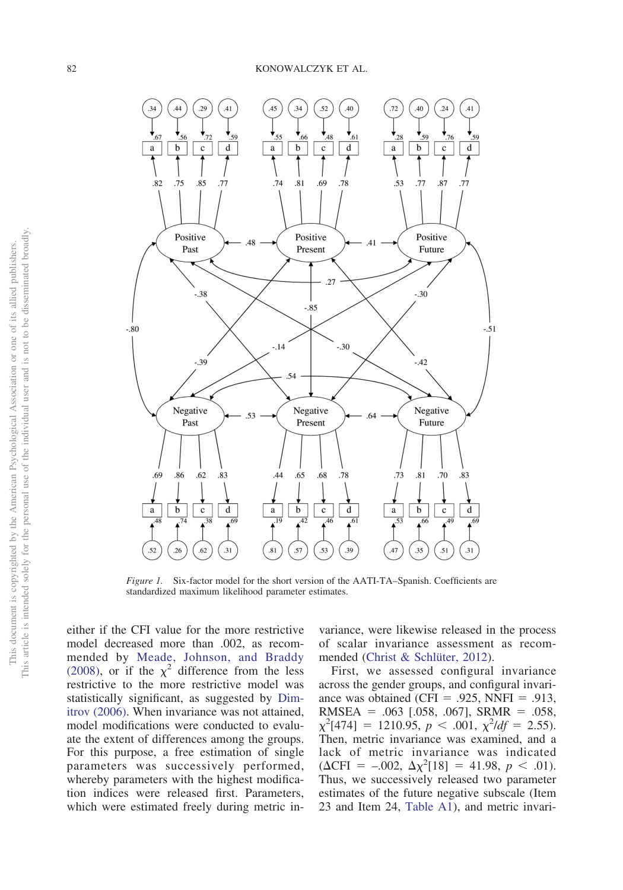

<span id="page-6-0"></span>*Figure 1.* Six-factor model for the short version of the AATI-TA–Spanish. Coefficients are standardized maximum likelihood parameter estimates.

either if the CFI value for the more restrictive model decreased more than .002, as recommended by [Meade, Johnson, and Braddy](#page-11-23) [\(2008\),](#page-11-23) or if the  $\chi^2$  difference from the less restrictive to the more restrictive model was statistically significant, as suggested by [Dim](#page-10-19)[itrov \(2006\).](#page-10-19) When invariance was not attained, model modifications were conducted to evaluate the extent of differences among the groups. For this purpose, a free estimation of single parameters was successively performed, whereby parameters with the highest modification indices were released first. Parameters, which were estimated freely during metric invariance, were likewise released in the process of scalar invariance assessment as recommended [\(Christ & Schlüter, 2012\)](#page-10-20).

First, we assessed configural invariance across the gender groups, and configural invariance was obtained (CFI = .925, NNFI = .913,  $RMSEA = .063$  [.058, .067],  $SRMR = .058$ ,  $\chi^2$ [474] = 1210.95, *p* < .001,  $\chi^2$ *ldf* = 2.55). Then, metric invariance was examined, and a lack of metric invariance was indicated  $(\Delta \text{CFI} = -.002, \ \Delta \chi^2[18] = 41.98, \ p < .01).$ Thus, we successively released two parameter estimates of the future negative subscale (Item 23 and Item 24, [Table A1\)](#page-14-0), and metric invari-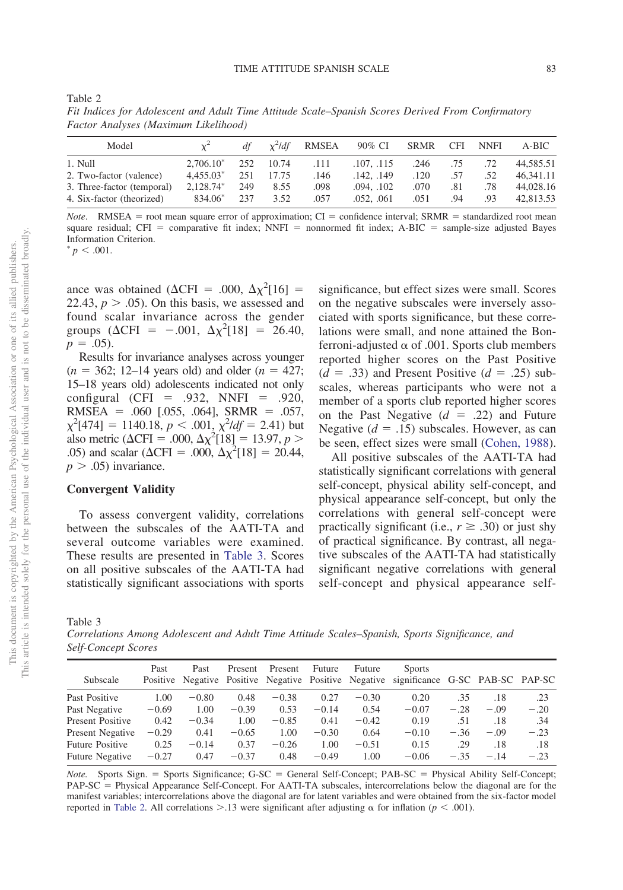| Fit Indices for Adolescent and Adult Time Attitude Scale–Spanish Scores Derived From Confirmatory |  |                                                                  |                                |  |               |
|---------------------------------------------------------------------------------------------------|--|------------------------------------------------------------------|--------------------------------|--|---------------|
| Factor Analyses (Maximum Likelihood)                                                              |  |                                                                  |                                |  |               |
| $M \alpha d \alpha l$                                                                             |  | $\mathcal{A}\mathcal{L}$ $\sqrt{2}L\mathcal{A}\mathcal{L}$ DMCEA | $0.002$ $C1$ $CDM$ $C1$ $NNET$ |  | $\Lambda$ DIC |

| Model                      |             | df  | $x^2$ ldf | RMSEA | 90% CI     | SRMR | CFI | <b>NNFI</b> | A-BIC     |
|----------------------------|-------------|-----|-----------|-------|------------|------|-----|-------------|-----------|
| 1. Null                    | $2.706.10*$ | 252 | 10.74     | .111  | .107, .115 | .246 | .75 | .72         | 44,585.51 |
| 2. Two-factor (valence)    | $4.455.03*$ | 251 | 17.75     | .146  | .142. .149 | .120 | .57 | .52         | 46.341.11 |
| 3. Three-factor (temporal) | 2.128.74*   | 249 | 8.55      | .098  | .094. .102 | .070 | .81 | .78         | 44,028.16 |
| 4. Six-factor (theorized)  | 834.06*     | 237 | 3.52      | .057  | .052, .061 | .051 | .94 | .93         | 42,813.53 |

*Note*. RMSEA = root mean square error of approximation; CI = confidence interval; SRMR = standardized root mean square residual; CFI = comparative fit index; NNFI = nonnormed fit index; A-BIC = sample-size adjusted Bayes Information Criterion.

 $p < .001$ .

<span id="page-7-1"></span>Table 2

ance was obtained ( $\Delta$ CFI = .000,  $\Delta \chi^2$ [16] = 22.43,  $p > .05$ ). On this basis, we assessed and found scalar invariance across the gender groups ( $\Delta \text{CFI} = -.001, \ \Delta \chi^2[18] = 26.40,$  $p = .05$ ).

Results for invariance analyses across younger  $(n = 362; 12-14 \text{ years old})$  and older  $(n = 427;$ 15–18 years old) adolescents indicated not only  $\text{configural (CFI} = .932, NNFI = .920,$  $RMSEA = .060$  [.055, .064],  $SRMR = .057$ ,  $\chi^2$ [474] = 1140.18, *p* < .001,  $\chi^2$ /*df* = 2.41) but also metric ( $\Delta \text{CFI} = .000, \Delta \chi^2[18] = 13.97, p >$ .05) and scalar ( $\Delta$ CFI = .000,  $\Delta \chi^2$ [18] = 20.44,  $p > .05$ ) invariance.

## **Convergent Validity**

To assess convergent validity, correlations between the subscales of the AATI-TA and several outcome variables were examined. These results are presented in [Table 3.](#page-7-0) Scores on all positive subscales of the AATI-TA had statistically significant associations with sports significance, but effect sizes were small. Scores on the negative subscales were inversely associated with sports significance, but these correlations were small, and none attained the Bonferroni-adjusted  $\alpha$  of .001. Sports club members reported higher scores on the Past Positive  $(d = .33)$  and Present Positive  $(d = .25)$  subscales, whereas participants who were not a member of a sports club reported higher scores on the Past Negative  $(d = .22)$  and Future Negative  $(d = .15)$  subscales. However, as can be seen, effect sizes were small [\(Cohen, 1988\)](#page-10-21).

All positive subscales of the AATI-TA had statistically significant correlations with general self-concept, physical ability self-concept, and physical appearance self-concept, but only the correlations with general self-concept were practically significant (i.e.,  $r \geq .30$ ) or just shy of practical significance. By contrast, all negative subscales of the AATI-TA had statistically significant negative correlations with general self-concept and physical appearance self-

<span id="page-7-0"></span>Table 3

*Correlations Among Adolescent and Adult Time Attitude Scales–Spanish, Sports Significance, and Self-Concept Scores*

| Subscale               | Past    | Past    | Present | Present | Future  | Future  | <b>Sports</b><br>Positive Negative Positive Negative Positive Negative significance G-SC PAB-SC PAP-SC |        |        |        |
|------------------------|---------|---------|---------|---------|---------|---------|--------------------------------------------------------------------------------------------------------|--------|--------|--------|
| Past Positive          | 1.00    | $-0.80$ | 0.48    | $-0.38$ | 0.27    | $-0.30$ | 0.20                                                                                                   | .35    | .18    | .23    |
| Past Negative          | $-0.69$ | 1.00    | $-0.39$ | 0.53    | $-0.14$ | 0.54    | $-0.07$                                                                                                | $-.28$ | $-.09$ | $-.20$ |
| Present Positive       | 0.42    | $-0.34$ | 1.00    | $-0.85$ | 0.41    | $-0.42$ | 0.19                                                                                                   | .51    | .18    | .34    |
| Present Negative       | $-0.29$ | 0.41    | $-0.65$ | 1.00    | $-0.30$ | 0.64    | $-0.10$                                                                                                | $-.36$ | $-.09$ | $-.23$ |
| <b>Future Positive</b> | 0.25    | $-0.14$ | 0.37    | $-0.26$ | 1.00    | $-0.51$ | 0.15                                                                                                   | .29    | .18    | .18    |
| <b>Future Negative</b> | $-0.27$ | 0.47    | $-0.37$ | 0.48    | $-0.49$ | 1.00    | $-0.06$                                                                                                | $-.35$ | $-.14$ | $-.23$ |

Note. Sports Sign. = Sports Significance; G-SC = General Self-Concept; PAB-SC = Physical Ability Self-Concept; PAP-SC = Physical Appearance Self-Concept. For AATI-TA subscales, intercorrelations below the diagonal are for the manifest variables; intercorrelations above the diagonal are for latent variables and were obtained from the six-factor model reported in [Table 2.](#page-7-1) All correlations  $> 13$  were significant after adjusting  $\alpha$  for inflation ( $p < .001$ ).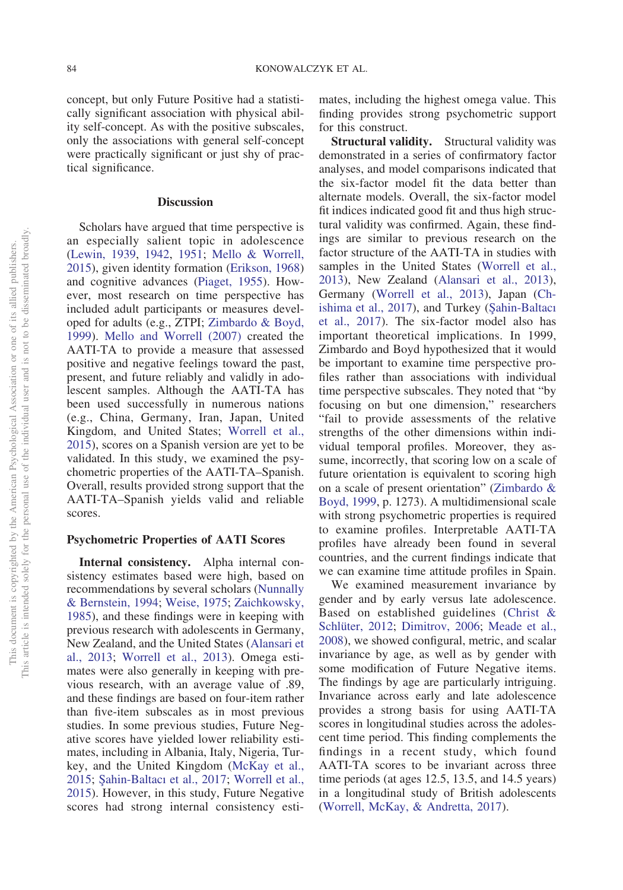concept, but only Future Positive had a statistically significant association with physical ability self-concept. As with the positive subscales, only the associations with general self-concept were practically significant or just shy of practical significance.

# **Discussion**

Scholars have argued that time perspective is an especially salient topic in adolescence [\(Lewin, 1939,](#page-11-0) [1942,](#page-11-1) [1951;](#page-11-2) [Mello & Worrell,](#page-12-0) [2015\)](#page-12-0), given identity formation [\(Erikson, 1968\)](#page-10-1) and cognitive advances [\(Piaget, 1955\)](#page-12-5). However, most research on time perspective has included adult participants or measures developed for adults (e.g., ZTPI; [Zimbardo & Boyd,](#page-13-0) [1999\)](#page-13-0). [Mello and Worrell \(2007\)](#page-12-8) created the AATI-TA to provide a measure that assessed positive and negative feelings toward the past, present, and future reliably and validly in adolescent samples. Although the AATI-TA has been used successfully in numerous nations (e.g., China, Germany, Iran, Japan, United Kingdom, and United States; [Worrell et al.,](#page-13-6) [2015\)](#page-13-6), scores on a Spanish version are yet to be validated. In this study, we examined the psychometric properties of the AATI-TA–Spanish. Overall, results provided strong support that the AATI-TA–Spanish yields valid and reliable scores.

# **Psychometric Properties of AATI Scores**

**Internal consistency.** Alpha internal consistency estimates based were high, based on recommendations by several scholars [\(Nunnally](#page-12-16) [& Bernstein, 1994;](#page-12-16) [Weise, 1975;](#page-12-17) [Zaichkowsky,](#page-13-9) [1985\)](#page-13-9), and these findings were in keeping with previous research with adolescents in Germany, New Zealand, and the United States [\(Alansari et](#page-10-3) [al., 2013;](#page-10-3) [Worrell et al., 2013\)](#page-13-3). Omega estimates were also generally in keeping with previous research, with an average value of .89, and these findings are based on four-item rather than five-item subscales as in most previous studies. In some previous studies, Future Negative scores have yielded lower reliability estimates, including in Albania, Italy, Nigeria, Turkey, and the United Kingdom [\(McKay et al.,](#page-11-12) [2015;](#page-11-12) Şahin-Baltacı et al., 2017; [Worrell et al.,](#page-13-6) [2015\)](#page-13-6). However, in this study, Future Negative scores had strong internal consistency estimates, including the highest omega value. This finding provides strong psychometric support for this construct.

**Structural validity.** Structural validity was demonstrated in a series of confirmatory factor analyses, and model comparisons indicated that the six-factor model fit the data better than alternate models. Overall, the six-factor model fit indices indicated good fit and thus high structural validity was confirmed. Again, these findings are similar to previous research on the factor structure of the AATI-TA in studies with samples in the United States [\(Worrell et al.,](#page-13-3) [2013\)](#page-13-3), New Zealand [\(Alansari et al., 2013\)](#page-10-3), Germany [\(Worrell et al., 2013\)](#page-13-3), Japan [\(Ch](#page-10-9)[ishima et al., 2017\)](#page-10-9), and Turkey (Şahin-Baltacı [et al., 2017\)](#page-12-13). The six-factor model also has important theoretical implications. In 1999, Zimbardo and Boyd hypothesized that it would be important to examine time perspective profiles rather than associations with individual time perspective subscales. They noted that "by focusing on but one dimension," researchers "fail to provide assessments of the relative strengths of the other dimensions within individual temporal profiles. Moreover, they assume, incorrectly, that scoring low on a scale of future orientation is equivalent to scoring high on a scale of present orientation" [\(Zimbardo &](#page-13-0) [Boyd, 1999,](#page-13-0) p. 1273). A multidimensional scale with strong psychometric properties is required to examine profiles. Interpretable AATI-TA profiles have already been found in several countries, and the current findings indicate that we can examine time attitude profiles in Spain.

We examined measurement invariance by gender and by early versus late adolescence. Based on established guidelines [\(Christ &](#page-10-20) [Schlüter, 2012;](#page-10-20) [Dimitrov, 2006;](#page-10-19) [Meade et al.,](#page-11-23) [2008\)](#page-11-23), we showed configural, metric, and scalar invariance by age, as well as by gender with some modification of Future Negative items. The findings by age are particularly intriguing. Invariance across early and late adolescence provides a strong basis for using AATI-TA scores in longitudinal studies across the adolescent time period. This finding complements the findings in a recent study, which found AATI-TA scores to be invariant across three time periods (at ages 12.5, 13.5, and 14.5 years) in a longitudinal study of British adolescents [\(Worrell, McKay, & Andretta, 2017\)](#page-13-11).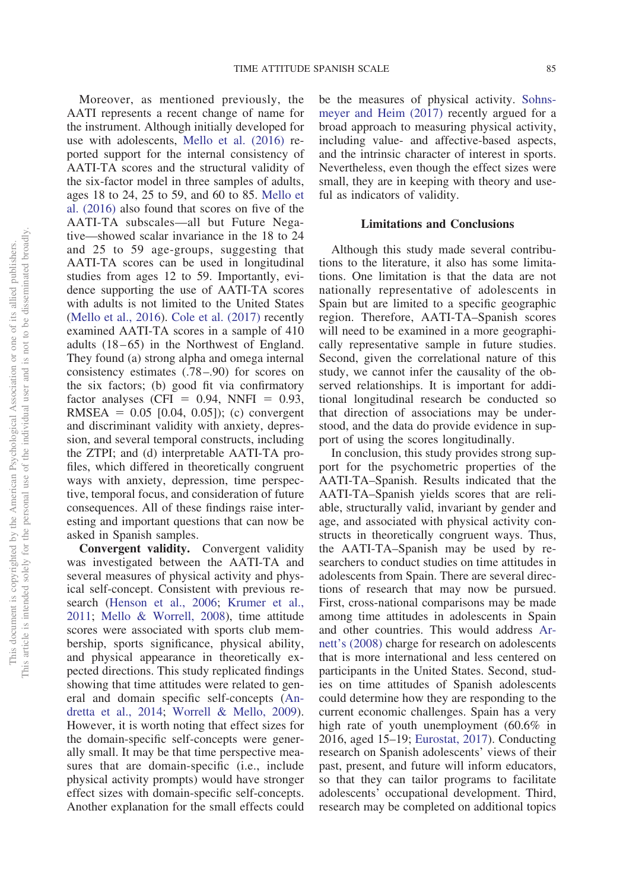Moreover, as mentioned previously, the AATI represents a recent change of name for the instrument. Although initially developed for use with adolescents, [Mello et al. \(2016\)](#page-12-9) reported support for the internal consistency of AATI-TA scores and the structural validity of the six-factor model in three samples of adults, ages 18 to 24, 25 to 59, and 60 to 85. [Mello et](#page-12-9) [al. \(2016\)](#page-12-9) also found that scores on five of the AATI-TA subscales—all but Future Negative—showed scalar invariance in the 18 to 24 and 25 to 59 age-groups, suggesting that AATI-TA scores can be used in longitudinal studies from ages 12 to 59. Importantly, evidence supporting the use of AATI-TA scores with adults is not limited to the United States [\(Mello et al., 2016\)](#page-12-9). [Cole et al. \(2017\)](#page-10-2) recently examined AATI-TA scores in a sample of 410 adults (18–65) in the Northwest of England. They found (a) strong alpha and omega internal consistency estimates (.78–.90) for scores on the six factors; (b) good fit via confirmatory factor analyses (CFI =  $0.94$ , NNFI =  $0.93$ ,  $RMSEA = 0.05 [0.04, 0.05]$ ; (c) convergent and discriminant validity with anxiety, depression, and several temporal constructs, including the ZTPI; and (d) interpretable AATI-TA profiles, which differed in theoretically congruent ways with anxiety, depression, time perspective, temporal focus, and consideration of future consequences. All of these findings raise interesting and important questions that can now be asked in Spanish samples.

**Convergent validity.** Convergent validity was investigated between the AATI-TA and several measures of physical activity and physical self-concept. Consistent with previous research [\(Henson et al., 2006;](#page-11-13) [Krumer et al.,](#page-11-14) [2011;](#page-11-14) [Mello & Worrell, 2008\)](#page-12-11), time attitude scores were associated with sports club membership, sports significance, physical ability, and physical appearance in theoretically expected directions. This study replicated findings showing that time attitudes were related to general and domain specific self-concepts [\(An](#page-10-4)[dretta et al., 2014;](#page-10-4) [Worrell & Mello, 2009\)](#page-13-5). However, it is worth noting that effect sizes for the domain-specific self-concepts were generally small. It may be that time perspective measures that are domain-specific (i.e., include physical activity prompts) would have stronger effect sizes with domain-specific self-concepts. Another explanation for the small effects could be the measures of physical activity. [Sohns](#page-12-20)[meyer and Heim \(2017\)](#page-12-20) recently argued for a broad approach to measuring physical activity, including value- and affective-based aspects, and the intrinsic character of interest in sports. Nevertheless, even though the effect sizes were small, they are in keeping with theory and useful as indicators of validity.

# **Limitations and Conclusions**

Although this study made several contributions to the literature, it also has some limitations. One limitation is that the data are not nationally representative of adolescents in Spain but are limited to a specific geographic region. Therefore, AATI-TA–Spanish scores will need to be examined in a more geographically representative sample in future studies. Second, given the correlational nature of this study, we cannot infer the causality of the observed relationships. It is important for additional longitudinal research be conducted so that direction of associations may be understood, and the data do provide evidence in support of using the scores longitudinally.

In conclusion, this study provides strong support for the psychometric properties of the AATI-TA–Spanish. Results indicated that the AATI-TA–Spanish yields scores that are reliable, structurally valid, invariant by gender and age, and associated with physical activity constructs in theoretically congruent ways. Thus, the AATI-TA–Spanish may be used by researchers to conduct studies on time attitudes in adolescents from Spain. There are several directions of research that may now be pursued. First, cross-national comparisons may be made among time attitudes in adolescents in Spain and other countries. This would address [Ar](#page-10-11)[nett's \(2008\)](#page-10-11) charge for research on adolescents that is more international and less centered on participants in the United States. Second, studies on time attitudes of Spanish adolescents could determine how they are responding to the current economic challenges. Spain has a very high rate of youth unemployment (60.6% in 2016, aged 15–19; [Eurostat, 2017\)](#page-10-22). Conducting research on Spanish adolescents' views of their past, present, and future will inform educators, so that they can tailor programs to facilitate adolescents' occupational development. Third, research may be completed on additional topics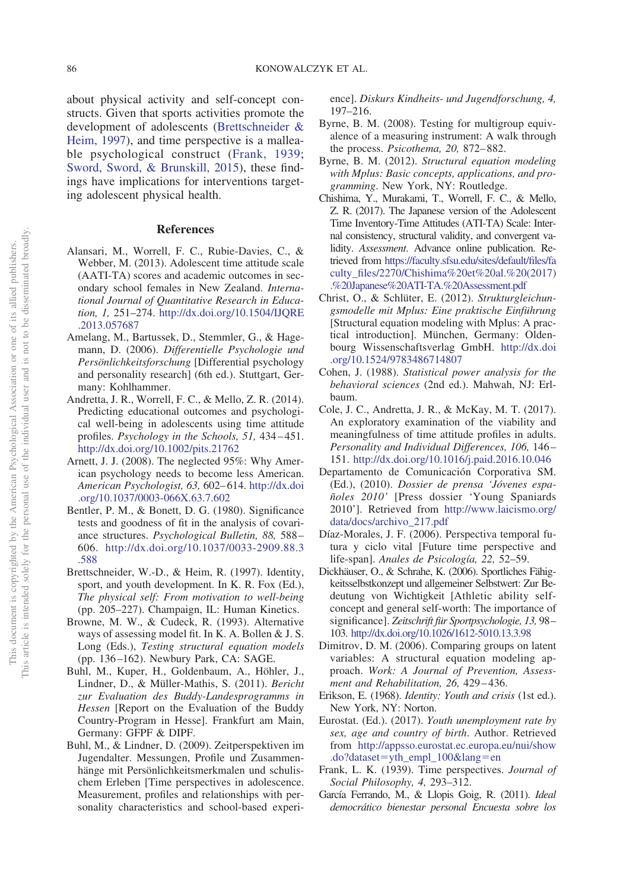about physical activity and self-concept constructs. Given that sports activities promote the development of adolescents [\(Brettschneider &](#page-10-7) [Heim, 1997\)](#page-10-7), and time perspective is a malleable psychological construct [\(Frank, 1939;](#page-10-0) [Sword, Sword, & Brunskill, 2015\)](#page-12-21), these findings have implications for interventions targeting adolescent physical health.

## **References**

- <span id="page-10-3"></span>Alansari, M., Worrell, F. C., Rubie-Davies, C., & Webber, M. (2013). Adolescent time attitude scale (AATI-TA) scores and academic outcomes in secondary school females in New Zealand. *International Journal of Quantitative Research in Education, 1,* 251–274. [http://dx.doi.org/10.1504/IJQRE](http://dx.doi.org/10.1504/IJQRE.2013.057687) [.2013.057687](http://dx.doi.org/10.1504/IJQRE.2013.057687)
- <span id="page-10-17"></span>Amelang, M., Bartussek, D., Stemmler, G., & Hagemann, D. (2006). *Differentielle Psychologie und Persönlichkeitsforschung* [Differential psychology and personality research] (6th ed.). Stuttgart, Germany: Kohlhammer.
- <span id="page-10-4"></span>Andretta, J. R., Worrell, F. C., & Mello, Z. R. (2014). Predicting educational outcomes and psychological well-being in adolescents using time attitude profiles. *Psychology in the Schools, 51,* 434–451. <http://dx.doi.org/10.1002/pits.21762>
- <span id="page-10-11"></span>Arnett, J. J. (2008). The neglected 95%: Why American psychology needs to become less American. *American Psychologist, 63,* 602–614. [http://dx.doi](http://dx.doi.org/10.1037/0003-066X.63.7.602) [.org/10.1037/0003-066X.63.7.602](http://dx.doi.org/10.1037/0003-066X.63.7.602)
- <span id="page-10-18"></span>Bentler, P. M., & Bonett, D. G. (1980). Significance tests and goodness of fit in the analysis of covariance structures. *Psychological Bulletin, 88,* 588– 606. [http://dx.doi.org/10.1037/0033-2909.88.3](http://dx.doi.org/10.1037/0033-2909.88.3.588) [.588](http://dx.doi.org/10.1037/0033-2909.88.3.588)
- <span id="page-10-7"></span>Brettschneider, W.-D., & Heim, R. (1997). Identity, sport, and youth development. In K. R. Fox (Ed.), *The physical self: From motivation to well-being* (pp. 205–227). Champaign, IL: Human Kinetics.
- <span id="page-10-15"></span>Browne, M. W., & Cudeck, R. (1993). Alternative ways of assessing model fit. In K. A. Bollen & J. S. Long (Eds.), *Testing structural equation models* (pp. 136–162). Newbury Park, CA: SAGE.
- <span id="page-10-12"></span>Buhl, M., Kuper, H., Goldenbaum, A., Höhler, J., Lindner, D., & Müller-Mathis, S. (2011). *Bericht zur Evaluation des Buddy-Landesprogramms in Hessen* [Report on the Evaluation of the Buddy Country-Program in Hesse]. Frankfurt am Main, Germany: GFPF & DIPF.
- <span id="page-10-8"></span>Buhl, M., & Lindner, D. (2009). Zeitperspektiven im Jugendalter. Messungen, Profile und Zusammenhänge mit Persönlichkeitsmerkmalen und schulischem Erleben [Time perspectives in adolescence. Measurement, profiles and relationships with personality characteristics and school-based experi-

ence]. *Diskurs Kindheits- und Jugendforschung, 4,* 197–216.

- <span id="page-10-16"></span>Byrne, B. M. (2008). Testing for multigroup equivalence of a measuring instrument: A walk through the process. *Psicothema, 20,* 872–882.
- <span id="page-10-14"></span>Byrne, B. M. (2012). *Structural equation modeling with Mplus: Basic concepts, applications, and programming*. New York, NY: Routledge.
- <span id="page-10-9"></span>Chishima, Y., Murakami, T., Worrell, F. C., & Mello, Z. R. (2017). The Japanese version of the Adolescent Time Inventory-Time Attitudes (ATI-TA) Scale: Internal consistency, structural validity, and convergent validity. *Assessment*. Advance online publication. Retrieved from [https://faculty.sfsu.edu/sites/default/files/fa](https://faculty.sfsu.edu/sites/default/files/faculty_files/2270/Chishima%20et%20al.%20%282017%29.%20Japanese%20ATI-TA.%20Assessment.pdf) [culty\\_files/2270/Chishima%20et%20al.%20\(2017\)](https://faculty.sfsu.edu/sites/default/files/faculty_files/2270/Chishima%20et%20al.%20%282017%29.%20Japanese%20ATI-TA.%20Assessment.pdf) [.%20Japanese%20ATI-TA.%20Assessment.pdf](https://faculty.sfsu.edu/sites/default/files/faculty_files/2270/Chishima%20et%20al.%20%282017%29.%20Japanese%20ATI-TA.%20Assessment.pdf)
- <span id="page-10-20"></span>Christ, O., & Schlüter, E. (2012). *Strukturgleichungsmodelle mit Mplus: Eine praktische Einführung* [Structural equation modeling with Mplus: A practical introduction]. München, Germany: Oldenbourg Wissenschaftsverlag GmbH. [http://dx.doi](http://dx.doi.org/10.1524/9783486714807) [.org/10.1524/9783486714807](http://dx.doi.org/10.1524/9783486714807)
- <span id="page-10-21"></span>Cohen, J. (1988). *Statistical power analysis for the behavioral sciences* (2nd ed.). Mahwah, NJ: Erlbaum.
- <span id="page-10-2"></span>Cole, J. C., Andretta, J. R., & McKay, M. T. (2017). An exploratory examination of the viability and meaningfulness of time attitude profiles in adults. *Personality and Individual Differences, 106,* 146– 151. <http://dx.doi.org/10.1016/j.paid.2016.10.046>
- <span id="page-10-5"></span>Departamento de Comunicación Corporativa SM. (Ed.), (2010). *Dossier de prensa 'Jóvenes españoles 2010'* [Press dossier 'Young Spaniards 2010']. Retrieved from [http://www.laicismo.org/](http://www.laicismo.org/data/docs/archivo_217.pdf) [data/docs/archivo\\_217.pdf](http://www.laicismo.org/data/docs/archivo_217.pdf)
- <span id="page-10-10"></span>Díaz-Morales, J. F. (2006). Perspectiva temporal futura y ciclo vital [Future time perspective and life-span]. *Anales de Psicología, 22,* 52–59.
- <span id="page-10-13"></span>Dickhäuser, O., & Schrahe, K. (2006). Sportliches Fähigkeitsselbstkonzept und allgemeiner Selbstwert: Zur Bedeutung von Wichtigkeit [Athletic ability selfconcept and general self-worth: The importance of significance]. *Zeitschrift für Sportpsychologie, 13,* 98– 103. <http://dx.doi.org/10.1026/1612-5010.13.3.98>
- <span id="page-10-19"></span>Dimitrov, D. M. (2006). Comparing groups on latent variables: A structural equation modeling approach. *Work: A Journal of Prevention, Assessment and Rehabilitation, 26,* 429–436.
- <span id="page-10-1"></span>Erikson, E. (1968). *Identity: Youth and crisis* (1st ed.). New York, NY: Norton.
- <span id="page-10-22"></span>Eurostat. (Ed.). (2017). *Youth unemployment rate by sex, age and country of birth*. Author. Retrieved from [http://appsso.eurostat.ec.europa.eu/nui/show](http://appsso.eurostat.ec.europa.eu/nui/show.do?dataset=yth_empl_100&lang=en) .do?dataset=[yth\\_empl\\_100&lang](http://appsso.eurostat.ec.europa.eu/nui/show.do?dataset=yth_empl_100&lang=en)=en
- <span id="page-10-0"></span>Frank, L. K. (1939). Time perspectives. *Journal of Social Philosophy, 4,* 293–312.
- <span id="page-10-6"></span>García Ferrando, M., & Llopis Goig, R. (2011). *Ideal democrático bienestar personal Encuesta sobre los*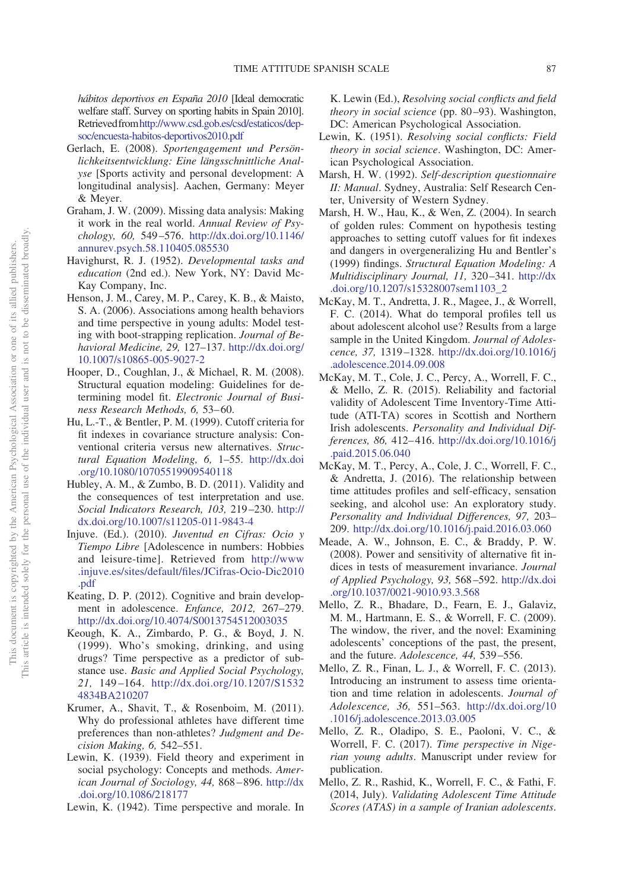*hábitos deportivos en España 2010* [Ideal democratic welfare staff. Survey on sporting habits in Spain 2010]. Retrievedfro[mhttp://www.csd.gob.es/csd/estaticos/dep](http://www.csd.gob.es/csd/estaticos/dep-soc/encuesta-habitos-deportivos2010.pdf)[soc/encuesta-habitos-deportivos2010.pdf](http://www.csd.gob.es/csd/estaticos/dep-soc/encuesta-habitos-deportivos2010.pdf)

- <span id="page-11-16"></span>Gerlach, E. (2008). *Sportengagement und Persönlichkeitsentwicklung: Eine längsschnittliche Analyse* [Sports activity and personal development: A longitudinal analysis]. Aachen, Germany: Meyer & Meyer.
- <span id="page-11-18"></span>Graham, J. W. (2009). Missing data analysis: Making it work in the real world. *Annual Review of Psychology, 60,* 549–576. [http://dx.doi.org/10.1146/](http://dx.doi.org/10.1146/annurev.psych.58.110405.085530) [annurev.psych.58.110405.085530](http://dx.doi.org/10.1146/annurev.psych.58.110405.085530)
- <span id="page-11-3"></span>Havighurst, R. J. (1952). *Developmental tasks and education* (2nd ed.). New York, NY: David Mc-Kay Company, Inc.
- <span id="page-11-13"></span>Henson, J. M., Carey, M. P., Carey, K. B., & Maisto, S. A. (2006). Associations among health behaviors and time perspective in young adults: Model testing with boot-strapping replication. *Journal of Behavioral Medicine, 29,* 127–137. [http://dx.doi.org/](http://dx.doi.org/10.1007/s10865-005-9027-2) [10.1007/s10865-005-9027-2](http://dx.doi.org/10.1007/s10865-005-9027-2)
- <span id="page-11-20"></span>Hooper, D., Coughlan, J., & Michael, R. M. (2008). Structural equation modeling: Guidelines for determining model fit. *Electronic Journal of Business Research Methods, 6,* 53–60.
- <span id="page-11-22"></span>Hu, L.-T., & Bentler, P. M. (1999). Cutoff criteria for fit indexes in covariance structure analysis: Conventional criteria versus new alternatives. *Structural Equation Modeling, 6,* 1–55. [http://dx.doi](http://dx.doi.org/10.1080/10705519909540118) [.org/10.1080/10705519909540118](http://dx.doi.org/10.1080/10705519909540118)
- <span id="page-11-9"></span>Hubley, A. M., & Zumbo, B. D. (2011). Validity and the consequences of test interpretation and use. *Social Indicators Research, 103,* 219–230. [http://](http://dx.doi.org/10.1007/s11205-011-9843-4) [dx.doi.org/10.1007/s11205-011-9843-4](http://dx.doi.org/10.1007/s11205-011-9843-4)
- <span id="page-11-15"></span>Injuve. (Ed.). (2010). *Juventud en Cifras: Ocio y Tiempo Libre* [Adolescence in numbers: Hobbies and leisure-time]. Retrieved from [http://www](http://www.injuve.es/sites/default/files/JCifras-Ocio-Dic2010.pdf) [.injuve.es/sites/default/files/JCifras-Ocio-Dic2010](http://www.injuve.es/sites/default/files/JCifras-Ocio-Dic2010.pdf) [.pdf](http://www.injuve.es/sites/default/files/JCifras-Ocio-Dic2010.pdf)
- <span id="page-11-4"></span>Keating, D. P. (2012). Cognitive and brain development in adolescence. *Enfance, 2012,* 267–279. <http://dx.doi.org/10.4074/S0013754512003035>
- <span id="page-11-5"></span>Keough, K. A., Zimbardo, P. G., & Boyd, J. N. (1999). Who's smoking, drinking, and using drugs? Time perspective as a predictor of substance use. *Basic and Applied Social Psychology, 21,* 149–164. [http://dx.doi.org/10.1207/S1532](http://dx.doi.org/10.1207/S15324834BA210207) [4834BA210207](http://dx.doi.org/10.1207/S15324834BA210207)
- <span id="page-11-14"></span>Krumer, A., Shavit, T., & Rosenboim, M. (2011). Why do professional athletes have different time preferences than non-athletes? *Judgment and Decision Making, 6,* 542–551.
- <span id="page-11-0"></span>Lewin, K. (1939). Field theory and experiment in social psychology: Concepts and methods. *American Journal of Sociology, 44,* 868–896. [http://dx](http://dx.doi.org/10.1086/218177) [.doi.org/10.1086/218177](http://dx.doi.org/10.1086/218177)
- <span id="page-11-1"></span>Lewin, K. (1942). Time perspective and morale. In

K. Lewin (Ed.), *Resolving social conflicts and field theory in social science* (pp. 80–93). Washington, DC: American Psychological Association.

- <span id="page-11-2"></span>Lewin, K. (1951). *Resolving social conflicts: Field theory in social science*. Washington, DC: American Psychological Association.
- <span id="page-11-19"></span>Marsh, H. W. (1992). *Self-description questionnaire II: Manual*. Sydney, Australia: Self Research Center, University of Western Sydney.
- <span id="page-11-21"></span>Marsh, H. W., Hau, K., & Wen, Z. (2004). In search of golden rules: Comment on hypothesis testing approaches to setting cutoff values for fit indexes and dangers in overgeneralizing Hu and Bentler's (1999) findings. *Structural Equation Modeling: A Multidisciplinary Journal, 11,* 320–341. [http://dx](http://dx.doi.org/10.1207/s15328007sem1103_2) [.doi.org/10.1207/s15328007sem1103\\_2](http://dx.doi.org/10.1207/s15328007sem1103_2)
- <span id="page-11-6"></span>McKay, M. T., Andretta, J. R., Magee, J., & Worrell, F. C. (2014). What do temporal profiles tell us about adolescent alcohol use? Results from a large sample in the United Kingdom. *Journal of Adolescence, 37,* 1319–1328. [http://dx.doi.org/10.1016/j](http://dx.doi.org/10.1016/j.adolescence.2014.09.008) [.adolescence.2014.09.008](http://dx.doi.org/10.1016/j.adolescence.2014.09.008)
- <span id="page-11-12"></span>McKay, M. T., Cole, J. C., Percy, A., Worrell, F. C., & Mello, Z. R. (2015). Reliability and factorial validity of Adolescent Time Inventory-Time Attitude (ATI-TA) scores in Scottish and Northern Irish adolescents. *Personality and Individual Differences, 86,* 412–416. [http://dx.doi.org/10.1016/j](http://dx.doi.org/10.1016/j.paid.2015.06.040) [.paid.2015.06.040](http://dx.doi.org/10.1016/j.paid.2015.06.040)
- <span id="page-11-7"></span>McKay, M. T., Percy, A., Cole, J. C., Worrell, F. C., & Andretta, J. (2016). The relationship between time attitudes profiles and self-efficacy, sensation seeking, and alcohol use: An exploratory study. *Personality and Individual Differences, 97,* 203– 209. <http://dx.doi.org/10.1016/j.paid.2016.03.060>
- <span id="page-11-23"></span>Meade, A. W., Johnson, E. C., & Braddy, P. W. (2008). Power and sensitivity of alternative fit indices in tests of measurement invariance. *Journal of Applied Psychology, 93,* 568–592. [http://dx.doi](http://dx.doi.org/10.1037/0021-9010.93.3.568) [.org/10.1037/0021-9010.93.3.568](http://dx.doi.org/10.1037/0021-9010.93.3.568)
- <span id="page-11-10"></span>Mello, Z. R., Bhadare, D., Fearn, E. J., Galaviz, M. M., Hartmann, E. S., & Worrell, F. C. (2009). The window, the river, and the novel: Examining adolescents' conceptions of the past, the present, and the future. *Adolescence, 44,* 539–556.
- <span id="page-11-11"></span>Mello, Z. R., Finan, L. J., & Worrell, F. C. (2013). Introducing an instrument to assess time orientation and time relation in adolescents. *Journal of Adolescence, 36,* 551–563. [http://dx.doi.org/10](http://dx.doi.org/10.1016/j.adolescence.2013.03.005) [.1016/j.adolescence.2013.03.005](http://dx.doi.org/10.1016/j.adolescence.2013.03.005)
- <span id="page-11-8"></span>Mello, Z. R., Oladipo, S. E., Paoloni, V. C., & Worrell, F. C. (2017). *Time perspective in Nigerian young adults*. Manuscript under review for publication.
- <span id="page-11-17"></span>Mello, Z. R., Rashid, K., Worrell, F. C., & Fathi, F. (2014, July). *Validating Adolescent Time Attitude Scores (ATAS) in a sample of Iranian adolescents*.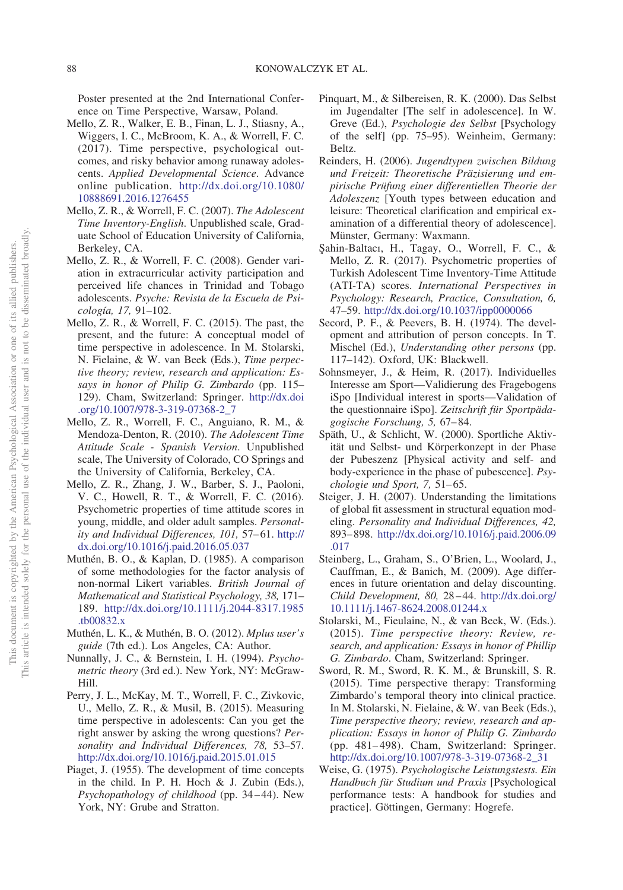Poster presented at the 2nd International Conference on Time Perspective, Warsaw, Poland.

- <span id="page-12-10"></span>Mello, Z. R., Walker, E. B., Finan, L. J., Stiasny, A., Wiggers, I. C., McBroom, K. A., & Worrell, F. C. (2017). Time perspective, psychological outcomes, and risky behavior among runaway adolescents. *Applied Developmental Science*. Advance online publication. [http://dx.doi.org/10.1080/](http://dx.doi.org/10.1080/10888691.2016.1276455) [10888691.2016.1276455](http://dx.doi.org/10.1080/10888691.2016.1276455)
- <span id="page-12-8"></span>Mello, Z. R., & Worrell, F. C. (2007). *The Adolescent Time Inventory-English*. Unpublished scale, Graduate School of Education University of California, Berkeley, CA.
- <span id="page-12-11"></span>Mello, Z. R., & Worrell, F. C. (2008). Gender variation in extracurricular activity participation and perceived life chances in Trinidad and Tobago adolescents. *Psyche: Revista de la Escuela de Psicología, 17,* 91–102.
- <span id="page-12-0"></span>Mello, Z. R., & Worrell, F. C. (2015). The past, the present, and the future: A conceptual model of time perspective in adolescence. In M. Stolarski, N. Fielaine, & W. van Beek (Eds.), *Time perpective theory; review, research and application: Essays in honor of Philip G. Zimbardo* (pp. 115– 129). Cham, Switzerland: Springer. [http://dx.doi](http://dx.doi.org/10.1007/978-3-319-07368-2_7) [.org/10.1007/978-3-319-07368-2\\_7](http://dx.doi.org/10.1007/978-3-319-07368-2_7)
- <span id="page-12-14"></span>Mello, Z. R., Worrell, F. C., Anguiano, R. M., & Mendoza-Denton, R. (2010). *The Adolescent Time Attitude Scale - Spanish Version*. Unpublished scale, The University of Colorado, CO Springs and the University of California, Berkeley, CA.
- <span id="page-12-9"></span>Mello, Z. R., Zhang, J. W., Barber, S. J., Paoloni, V. C., Howell, R. T., & Worrell, F. C. (2016). Psychometric properties of time attitude scores in young, middle, and older adult samples. *Personality and Individual Differences, 101,* 57–61. [http://](http://dx.doi.org/10.1016/j.paid.2016.05.037) [dx.doi.org/10.1016/j.paid.2016.05.037](http://dx.doi.org/10.1016/j.paid.2016.05.037)
- <span id="page-12-15"></span>Muthén, B. O., & Kaplan, D. (1985). A comparison of some methodologies for the factor analysis of non-normal Likert variables. *British Journal of Mathematical and Statistical Psychology, 38,* 171– 189. [http://dx.doi.org/10.1111/j.2044-8317.1985](http://dx.doi.org/10.1111/j.2044-8317.1985.tb00832.x) [.tb00832.x](http://dx.doi.org/10.1111/j.2044-8317.1985.tb00832.x)
- <span id="page-12-18"></span>Muthén, L. K., & Muthén, B. O. (2012). *Mplus user's guide* (7th ed.). Los Angeles, CA: Author.
- <span id="page-12-16"></span>Nunnally, J. C., & Bernstein, I. H. (1994). *Psychometric theory* (3rd ed.). New York, NY: McGraw-Hill.
- <span id="page-12-7"></span>Perry, J. L., McKay, M. T., Worrell, F. C., Zivkovic, U., Mello, Z. R., & Musil, B. (2015). Measuring time perspective in adolescents: Can you get the right answer by asking the wrong questions? *Personality and Individual Differences, 78,* 53–57. <http://dx.doi.org/10.1016/j.paid.2015.01.015>
- <span id="page-12-5"></span>Piaget, J. (1955). The development of time concepts in the child. In P. H. Hoch & J. Zubin (Eds.), *Psychopathology of childhood* (pp. 34–44). New York, NY: Grube and Stratton.
- <span id="page-12-1"></span>Pinquart, M., & Silbereisen, R. K. (2000). Das Selbst im Jugendalter [The self in adolescence]. In W. Greve (Ed.), *Psychologie des Selbst* [Psychology of the self] (pp. 75–95). Weinheim, Germany: Beltz.
- <span id="page-12-2"></span>Reinders, H. (2006). *Jugendtypen zwischen Bildung und Freizeit: Theoretische Präzisierung und empirische Prüfung einer differentiellen Theorie der Adoleszenz* [Youth types between education and leisure: Theoretical clarification and empirical examination of a differential theory of adolescence]. Münster, Germany: Waxmann.
- <span id="page-12-13"></span>S¸ahin-Baltacı, H., Tagay, O., Worrell, F. C., & Mello, Z. R. (2017). Psychometric properties of Turkish Adolescent Time Inventory-Time Attitude (ATI-TA) scores. *International Perspectives in Psychology: Research, Practice, Consultation, 6,* 47–59. <http://dx.doi.org/10.1037/ipp0000066>
- <span id="page-12-3"></span>Secord, P. F., & Peevers, B. H. (1974). The development and attribution of person concepts. In T. Mischel (Ed.), *Understanding other persons* (pp. 117–142). Oxford, UK: Blackwell.
- <span id="page-12-20"></span>Sohnsmeyer, J., & Heim, R. (2017). Individuelles Interesse am Sport—Validierung des Fragebogens iSpo [Individual interest in sports—Validation of the questionnaire iSpo]. *Zeitschrift für Sportpädagogische Forschung, 5,* 67–84.
- <span id="page-12-12"></span>Späth, U., & Schlicht, W. (2000). Sportliche Aktivität und Selbst- und Körperkonzept in der Phase der Pubeszenz [Physical activity and self- and body-experience in the phase of pubescence]. *Psychologie und Sport, 7,* 51–65.
- <span id="page-12-19"></span>Steiger, J. H. (2007). Understanding the limitations of global fit assessment in structural equation modeling. *Personality and Individual Differences, 42,* 893–898. [http://dx.doi.org/10.1016/j.paid.2006.09](http://dx.doi.org/10.1016/j.paid.2006.09.017) [.017](http://dx.doi.org/10.1016/j.paid.2006.09.017)
- <span id="page-12-4"></span>Steinberg, L., Graham, S., O'Brien, L., Woolard, J., Cauffman, E., & Banich, M. (2009). Age differences in future orientation and delay discounting. *Child Development, 80,* 28–44. [http://dx.doi.org/](http://dx.doi.org/10.1111/j.1467-8624.2008.01244.x) [10.1111/j.1467-8624.2008.01244.x](http://dx.doi.org/10.1111/j.1467-8624.2008.01244.x)
- <span id="page-12-6"></span>Stolarski, M., Fieulaine, N., & van Beek, W. (Eds.). (2015). *Time perspective theory: Review, research, and application: Essays in honor of Phillip G. Zimbardo*. Cham, Switzerland: Springer.
- <span id="page-12-21"></span>Sword, R. M., Sword, R. K. M., & Brunskill, S. R. (2015). Time perspective therapy: Transforming Zimbardo's temporal theory into clinical practice. In M. Stolarski, N. Fielaine, & W. van Beek (Eds.), *Time perspective theory; review, research and application: Essays in honor of Philip G. Zimbardo* (pp. 481–498). Cham, Switzerland: Springer. [http://dx.doi.org/10.1007/978-3-319-07368-2\\_31](http://dx.doi.org/10.1007/978-3-319-07368-2_31)
- <span id="page-12-17"></span>Weise, G. (1975). *Psychologische Leistungstests. Ein Handbuch für Studium und Praxis* [Psychological performance tests: A handbook for studies and practice]. Göttingen, Germany: Hogrefe.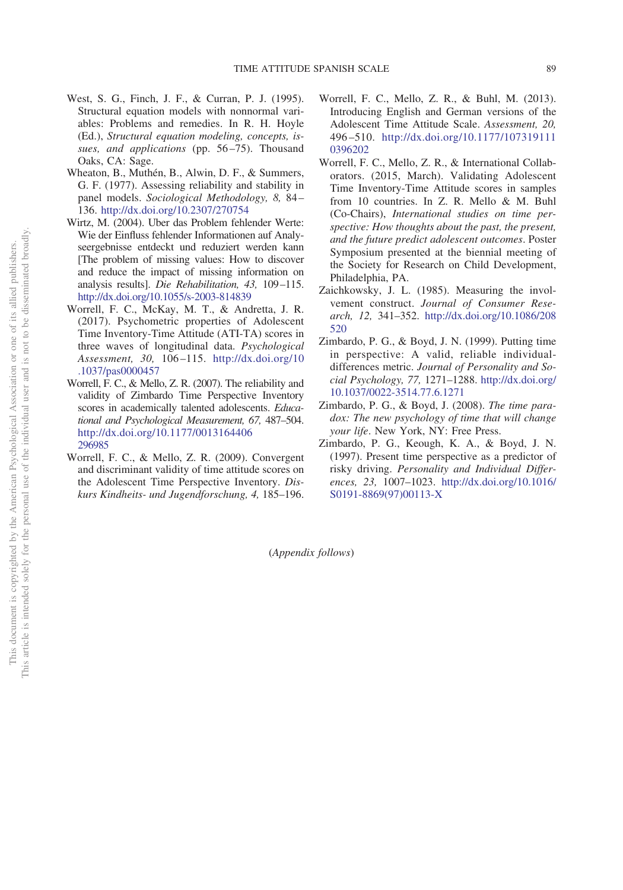- <span id="page-13-8"></span>West, S. G., Finch, J. F., & Curran, P. J. (1995). Structural equation models with nonnormal variables: Problems and remedies. In R. H. Hoyle (Ed.), *Structural equation modeling, concepts, issues, and applications* (pp. 56–75). Thousand Oaks, CA: Sage.
- <span id="page-13-10"></span>Wheaton, B., Muthén, B., Alwin, D. F., & Summers, G. F. (1977). Assessing reliability and stability in panel models. *Sociological Methodology, 8,* 84– 136. <http://dx.doi.org/10.2307/270754>
- <span id="page-13-7"></span>Wirtz, M. (2004). Uber das Problem fehlender Werte: Wie der Einfluss fehlender Informationen auf Analyseergebnisse entdeckt und reduziert werden kann [The problem of missing values: How to discover and reduce the impact of missing information on analysis results]. *Die Rehabilitation, 43,* 109–115. <http://dx.doi.org/10.1055/s-2003-814839>
- <span id="page-13-11"></span>Worrell, F. C., McKay, M. T., & Andretta, J. R. (2017). Psychometric properties of Adolescent Time Inventory-Time Attitude (ATI-TA) scores in three waves of longitudinal data. *Psychological Assessment, 30,* 106–115. [http://dx.doi.org/10](http://dx.doi.org/10.1037/pas0000457) [.1037/pas0000457](http://dx.doi.org/10.1037/pas0000457)
- <span id="page-13-2"></span>Worrell, F. C., & Mello, Z. R. (2007). The reliability and validity of Zimbardo Time Perspective Inventory scores in academically talented adolescents. *Educational and Psychological Measurement, 67,* 487–504. [http://dx.doi.org/10.1177/0013164406](http://dx.doi.org/10.1177/0013164406296985) [296985](http://dx.doi.org/10.1177/0013164406296985)
- <span id="page-13-5"></span>Worrell, F. C., & Mello, Z. R. (2009). Convergent and discriminant validity of time attitude scores on the Adolescent Time Perspective Inventory. *Diskurs Kindheits- und Jugendforschung, 4,* 185–196.
- <span id="page-13-3"></span>Worrell, F. C., Mello, Z. R., & Buhl, M. (2013). Introducing English and German versions of the Adolescent Time Attitude Scale. *Assessment, 20,* 496–510. [http://dx.doi.org/10.1177/107319111](http://dx.doi.org/10.1177/1073191110396202) [0396202](http://dx.doi.org/10.1177/1073191110396202)
- <span id="page-13-6"></span>Worrell, F. C., Mello, Z. R., & International Collaborators. (2015, March). Validating Adolescent Time Inventory-Time Attitude scores in samples from 10 countries. In Z. R. Mello & M. Buhl (Co-Chairs), *International studies on time perspective: How thoughts about the past, the present, and the future predict adolescent outcomes*. Poster Symposium presented at the biennial meeting of the Society for Research on Child Development, Philadelphia, PA.
- <span id="page-13-9"></span>Zaichkowsky, J. L. (1985). Measuring the involvement construct. *Journal of Consumer Research, 12,* 341–352. [http://dx.doi.org/10.1086/208](http://dx.doi.org/10.1086/208520) [520](http://dx.doi.org/10.1086/208520)
- <span id="page-13-0"></span>Zimbardo, P. G., & Boyd, J. N. (1999). Putting time in perspective: A valid, reliable individualdifferences metric. *Journal of Personality and Social Psychology, 77,* 1271–1288. [http://dx.doi.org/](http://dx.doi.org/10.1037/0022-3514.77.6.1271) [10.1037/0022-3514.77.6.1271](http://dx.doi.org/10.1037/0022-3514.77.6.1271)
- <span id="page-13-4"></span>Zimbardo, P. G., & Boyd, J. (2008). *The time paradox: The new psychology of time that will change your life*. New York, NY: Free Press.
- <span id="page-13-1"></span>Zimbardo, P. G., Keough, K. A., & Boyd, J. N. (1997). Present time perspective as a predictor of risky driving. *Personality and Individual Differences, 23,* 1007–1023. [http://dx.doi.org/10.1016/](http://dx.doi.org/10.1016/S0191-8869%2897%2900113-X) [S0191-8869\(97\)00113-X](http://dx.doi.org/10.1016/S0191-8869%2897%2900113-X)

(*Appendix follows*)